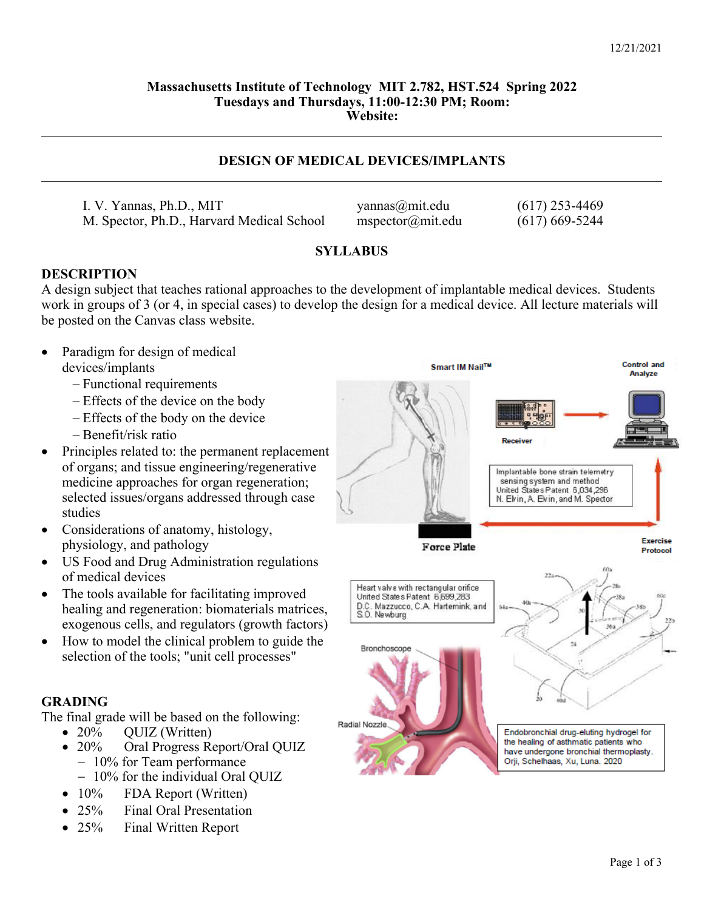### **Massachusetts Institute of Technology MIT 2.782, HST.524 Spring 2022 Tuesdays and Thursdays, 11:00-12:30 PM; Room: Website:**

## **DESIGN OF MEDICAL DEVICES/IMPLANTS**

I. V. Yannas, Ph.D., MIT yannas@mit.edu (617) 253-4469 M. Spector, Ph.D., Harvard Medical School mspector@mit.edu (617) 669-5244

## **SYLLABUS**

### **DESCRIPTION**

A design subject that teaches rational approaches to the development of implantable medical devices. Students work in groups of 3 (or 4, in special cases) to develop the design for a medical device. All lecture materials will be posted on the Canvas class website.

- Paradigm for design of medical devices/implants
	- Functional requirements
	- Effects of the device on the body
	- Effects of the body on the device
	- Benefit/risk ratio
- Principles related to: the permanent replacement of organs; and tissue engineering/regenerative medicine approaches for organ regeneration; selected issues/organs addressed through case studies
- Considerations of anatomy, histology, physiology, and pathology
- US Food and Drug Administration regulations of medical devices
- The tools available for facilitating improved healing and regeneration: biomaterials matrices, exogenous cells, and regulators (growth factors)
- How to model the clinical problem to guide the selection of the tools; "unit cell processes"

## **GRADING**

The final grade will be based on the following:

- 20% QUIZ (Written)
- 20% Oral Progress Report/Oral QUIZ
	- 10% for Team performance
	- 10% for the individual Oral QUIZ
- $\bullet$  10% FDA Report (Written)
- 25% Final Oral Presentation
- 25% Final Written Report

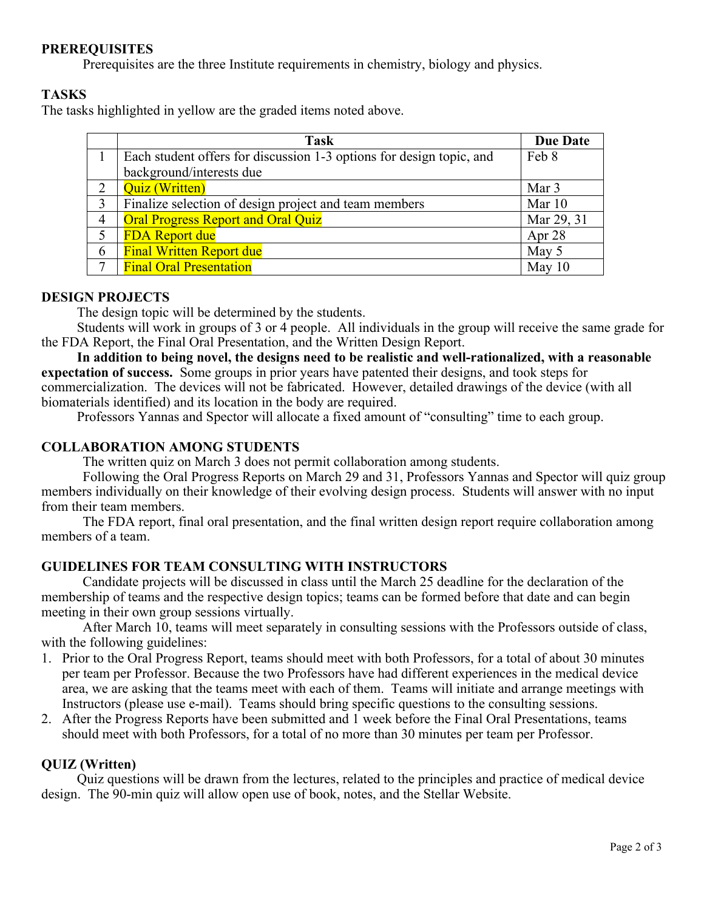# **PREREQUISITES**

Prerequisites are the three Institute requirements in chemistry, biology and physics.

# **TASKS**

The tasks highlighted in yellow are the graded items noted above.

|   | <b>Task</b>                                                          | <b>Due Date</b> |
|---|----------------------------------------------------------------------|-----------------|
|   | Each student offers for discussion 1-3 options for design topic, and | Feb 8           |
|   | background/interests due                                             |                 |
|   | <b>Quiz</b> (Written)                                                | Mar 3           |
| 3 | Finalize selection of design project and team members                | Mar 10          |
| 4 | <b>Oral Progress Report and Oral Quiz</b>                            | Mar 29, 31      |
|   | <b>FDA Report due</b>                                                | Apr 28          |
| 6 | <b>Final Written Report due</b>                                      | May 5           |
|   | <b>Final Oral Presentation</b>                                       | May $10$        |

## **DESIGN PROJECTS**

The design topic will be determined by the students.

 Students will work in groups of 3 or 4 people. All individuals in the group will receive the same grade for the FDA Report, the Final Oral Presentation, and the Written Design Report.

**In addition to being novel, the designs need to be realistic and well-rationalized, with a reasonable expectation of success.** Some groups in prior years have patented their designs, and took steps for commercialization. The devices will not be fabricated. However, detailed drawings of the device (with all biomaterials identified) and its location in the body are required.

Professors Yannas and Spector will allocate a fixed amount of "consulting" time to each group.

## **COLLABORATION AMONG STUDENTS**

The written quiz on March 3 does not permit collaboration among students.

Following the Oral Progress Reports on March 29 and 31, Professors Yannas and Spector will quiz group members individually on their knowledge of their evolving design process. Students will answer with no input from their team members.

The FDA report, final oral presentation, and the final written design report require collaboration among members of a team.

# **GUIDELINES FOR TEAM CONSULTING WITH INSTRUCTORS**

Candidate projects will be discussed in class until the March 25 deadline for the declaration of the membership of teams and the respective design topics; teams can be formed before that date and can begin meeting in their own group sessions virtually.

After March 10, teams will meet separately in consulting sessions with the Professors outside of class, with the following guidelines:

- 1. Prior to the Oral Progress Report, teams should meet with both Professors, for a total of about 30 minutes per team per Professor. Because the two Professors have had different experiences in the medical device area, we are asking that the teams meet with each of them. Teams will initiate and arrange meetings with Instructors (please use e-mail). Teams should bring specific questions to the consulting sessions.
- 2. After the Progress Reports have been submitted and 1 week before the Final Oral Presentations, teams should meet with both Professors, for a total of no more than 30 minutes per team per Professor.

# **QUIZ (Written)**

 Quiz questions will be drawn from the lectures, related to the principles and practice of medical device design. The 90-min quiz will allow open use of book, notes, and the Stellar Website.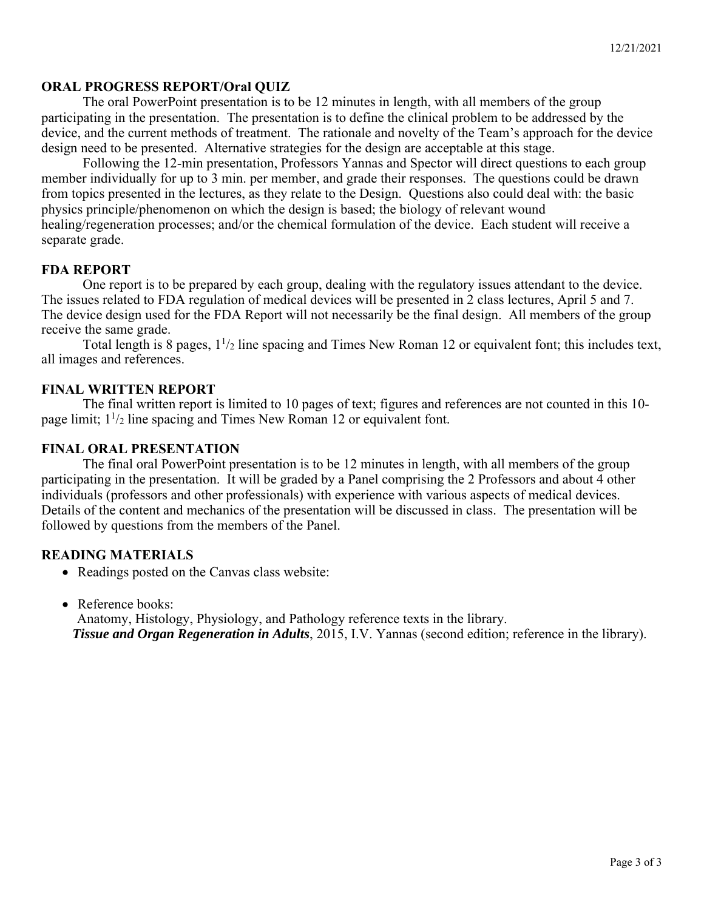### **ORAL PROGRESS REPORT/Oral QUIZ**

The oral PowerPoint presentation is to be 12 minutes in length, with all members of the group participating in the presentation. The presentation is to define the clinical problem to be addressed by the device, and the current methods of treatment. The rationale and novelty of the Team's approach for the device design need to be presented. Alternative strategies for the design are acceptable at this stage.

Following the 12-min presentation, Professors Yannas and Spector will direct questions to each group member individually for up to 3 min. per member, and grade their responses. The questions could be drawn from topics presented in the lectures, as they relate to the Design. Questions also could deal with: the basic physics principle/phenomenon on which the design is based; the biology of relevant wound healing/regeneration processes; and/or the chemical formulation of the device. Each student will receive a separate grade.

### **FDA REPORT**

One report is to be prepared by each group, dealing with the regulatory issues attendant to the device. The issues related to FDA regulation of medical devices will be presented in 2 class lectures, April 5 and 7. The device design used for the FDA Report will not necessarily be the final design. All members of the group receive the same grade.

Total length is 8 pages,  $1^{1/2}$  line spacing and Times New Roman 12 or equivalent font; this includes text, all images and references.

### **FINAL WRITTEN REPORT**

The final written report is limited to 10 pages of text; figures and references are not counted in this 10 page limit;  $1\frac{1}{2}$  line spacing and Times New Roman 12 or equivalent font.

### **FINAL ORAL PRESENTATION**

The final oral PowerPoint presentation is to be 12 minutes in length, with all members of the group participating in the presentation. It will be graded by a Panel comprising the 2 Professors and about 4 other individuals (professors and other professionals) with experience with various aspects of medical devices. Details of the content and mechanics of the presentation will be discussed in class. The presentation will be followed by questions from the members of the Panel.

### **READING MATERIALS**

- Readings posted on the Canvas class website:
- Reference books:

 Anatomy, Histology, Physiology, and Pathology reference texts in the library. *Tissue and Organ Regeneration in Adults*, 2015, I.V. Yannas (second edition; reference in the library).